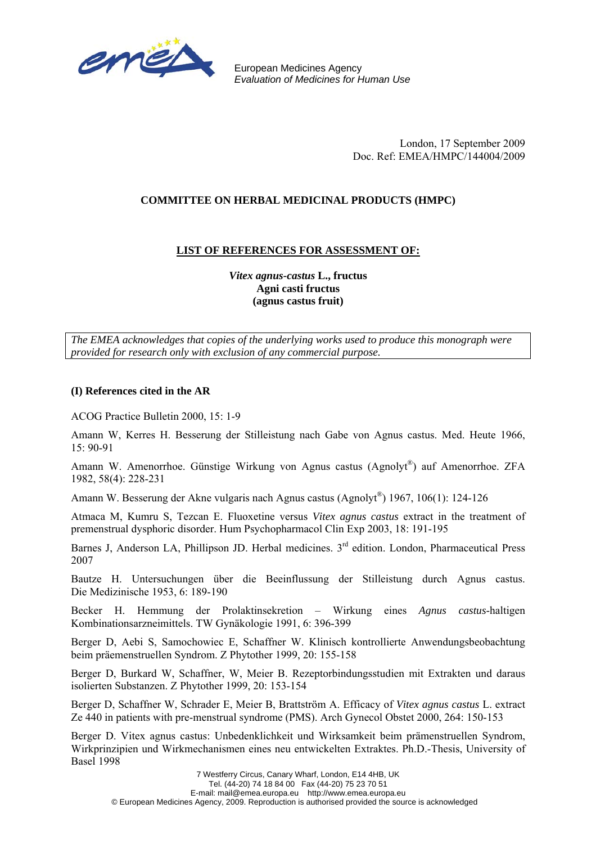

European Medicines Agency *Evaluation of Medicines for Human Use*

> London, 17 September 2009 Doc. Ref: EMEA/HMPC/144004/2009

## **COMMITTEE ON HERBAL MEDICINAL PRODUCTS (HMPC)**

## **LIST OF REFERENCES FOR ASSESSMENT OF:**

*Vitex agnus-castus* **L., fructus Agni casti fructus (agnus castus fruit)**

*The EMEA acknowledges that copies of the underlying works used to produce this monograph were provided for research only with exclusion of any commercial purpose.*

## **(I) References cited in the AR**

ACOG Practice Bulletin 2000, 15: 1-9

Amann W, Kerres H. Besserung der Stilleistung nach Gabe von Agnus castus. Med. Heute 1966, 15: 90-91

Amann W. Amenorrhoe. Günstige Wirkung von Agnus castus (Agnolyt®) auf Amenorrhoe. ZFA 1982, 58(4): 228-231

Amann W. Besserung der Akne vulgaris nach Agnus castus (Agnolyt®) 1967, 106(1): 124-126

Atmaca M, Kumru S, Tezcan E. Fluoxetine versus *Vitex agnus castus* extract in the treatment of premenstrual dysphoric disorder. Hum Psychopharmacol Clin Exp 2003, 18: 191-195

Barnes J, Anderson LA, Phillipson JD. Herbal medicines. 3<sup>rd</sup> edition. London, Pharmaceutical Press 2007

Bautze H. Untersuchungen über die Beeinflussung der Stilleistung durch Agnus castus. Die Medizinische 1953, 6: 189-190

Becker H. Hemmung der Prolaktinsekretion – Wirkung eines *Agnus castus*-haltigen Kombinationsarzneimittels. TW Gynäkologie 1991, 6: 396-399

Berger D, Aebi S, Samochowiec E, Schaffner W. Klinisch kontrollierte Anwendungsbeobachtung beim präemenstruellen Syndrom. Z Phytother 1999, 20: 155-158

Berger D, Burkard W, Schaffner, W, Meier B. Rezeptorbindungsstudien mit Extrakten und daraus isolierten Substanzen. Z Phytother 1999, 20: 153-154

Berger D, Schaffner W, Schrader E, Meier B, Brattström A. Efficacy of *Vitex agnus castus* L. extract Ze 440 in patients with pre-menstrual syndrome (PMS). Arch Gynecol Obstet 2000, 264: 150-153

Berger D. Vitex agnus castus: Unbedenklichkeit und Wirksamkeit beim prämenstruellen Syndrom, Wirkprinzipien und Wirkmechanismen eines neu entwickelten Extraktes. Ph.D.-Thesis, University of Basel 1998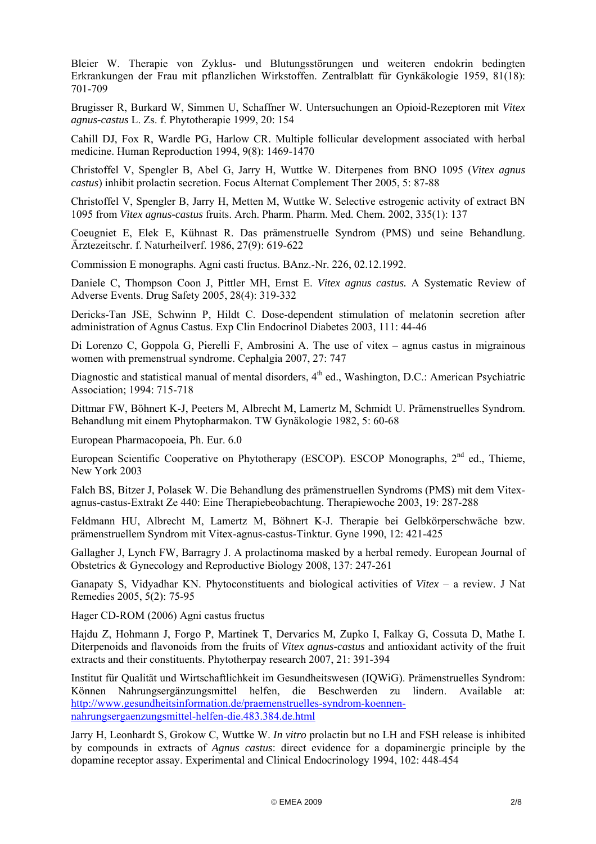Bleier W. Therapie von Zyklus- und Blutungsstörungen und weiteren endokrin bedingten Erkrankungen der Frau mit pflanzlichen Wirkstoffen. Zentralblatt für Gynkäkologie 1959, 81(18): 701-709

Brugisser R, Burkard W, Simmen U, Schaffner W. Untersuchungen an Opioid-Rezeptoren mit *Vitex agnus-castus* L. Zs. f. Phytotherapie 1999, 20: 154

Cahill DJ, Fox R, Wardle PG, Harlow CR. Multiple follicular development associated with herbal medicine. Human Reproduction 1994, 9(8): 1469-1470

Christoffel V, Spengler B, Abel G, Jarry H, Wuttke W. Diterpenes from BNO 1095 (*Vitex agnus castus*) inhibit prolactin secretion. Focus Alternat Complement Ther 2005, 5: 87-88

Christoffel V, Spengler B, Jarry H, Metten M, Wuttke W. Selective estrogenic activity of extract BN 1095 from *Vitex agnus-castus* fruits. Arch. Pharm. Pharm. Med. Chem. 2002, 335(1): 137

Coeugniet E, Elek E, Kühnast R. Das prämenstruelle Syndrom (PMS) und seine Behandlung. Ärztezeitschr. f. Naturheilverf. 1986, 27(9): 619-622

Commission E monographs. Agni casti fructus. BAnz.-Nr. 226, 02.12.1992.

Daniele C, Thompson Coon J, Pittler MH, Ernst E. *Vitex agnus castus.* A Systematic Review of Adverse Events. Drug Safety 2005, 28(4): 319-332

Dericks-Tan JSE, Schwinn P, Hildt C. Dose-dependent stimulation of melatonin secretion after administration of Agnus Castus. Exp Clin Endocrinol Diabetes 2003, 111: 44-46

Di Lorenzo C, Goppola G, Pierelli F, Ambrosini A. The use of vitex – agnus castus in migrainous women with premenstrual syndrome. Cephalgia 2007, 27: 747

Diagnostic and statistical manual of mental disorders, 4<sup>th</sup> ed., Washington, D.C.: American Psychiatric Association; 1994: 715-718

Dittmar FW, Böhnert K-J, Peeters M, Albrecht M, Lamertz M, Schmidt U. Prämenstruelles Syndrom. Behandlung mit einem Phytopharmakon. TW Gynäkologie 1982, 5: 60-68

European Pharmacopoeia, Ph. Eur. 6.0

European Scientific Cooperative on Phytotherapy (ESCOP). ESCOP Monographs, 2<sup>nd</sup> ed., Thieme, New York 2003

Falch BS, Bitzer J, Polasek W. Die Behandlung des prämenstruellen Syndroms (PMS) mit dem Vitexagnus-castus-Extrakt Ze 440: Eine Therapiebeobachtung. Therapiewoche 2003, 19: 287-288

Feldmann HU, Albrecht M, Lamertz M, Böhnert K-J. Therapie bei Gelbkörperschwäche bzw. prämenstruellem Syndrom mit Vitex-agnus-castus-Tinktur. Gyne 1990, 12: 421-425

Gallagher J, Lynch FW, Barragry J. A prolactinoma masked by a herbal remedy. European Journal of Obstetrics & Gynecology and Reproductive Biology 2008, 137: 247-261

Ganapaty S, Vidyadhar KN. Phytoconstituents and biological activities of *Vitex* – a review. J Nat Remedies 2005, 5(2): 75-95

Hager CD-ROM (2006) Agni castus fructus

Hajdu Z, Hohmann J, Forgo P, Martinek T, Dervarics M, Zupko I, Falkay G, Cossuta D, Mathe I. Diterpenoids and flavonoids from the fruits of *Vitex agnus-castus* and antioxidant activity of the fruit extracts and their constituents. Phytotherpay research 2007, 21: 391-394

Institut für Qualität und Wirtschaftlichkeit im Gesundheitswesen (IQWiG). Prämenstruelles Syndrom: Können Nahrungsergänzungsmittel helfen, die Beschwerden zu lindern. Available at: [http://www.gesundheitsinformation.de/praemenstruelles-syndrom-koennen](http://www.gesundheitsinformation.de/praemenstruelles-syndrom-koennen-nahrungsergaenzungsmittel-helfen-die.483.384.de.html)[nahrungsergaenzungsmittel-helfen-die.483.384.de.html](http://www.gesundheitsinformation.de/praemenstruelles-syndrom-koennen-nahrungsergaenzungsmittel-helfen-die.483.384.de.html)

Jarry H, Leonhardt S, Grokow C, Wuttke W. *In vitro* prolactin but no LH and FSH release is inhibited by compounds in extracts of *Agnus castus*: direct evidence for a dopaminergic principle by the dopamine receptor assay. Experimental and Clinical Endocrinology 1994, 102: 448-454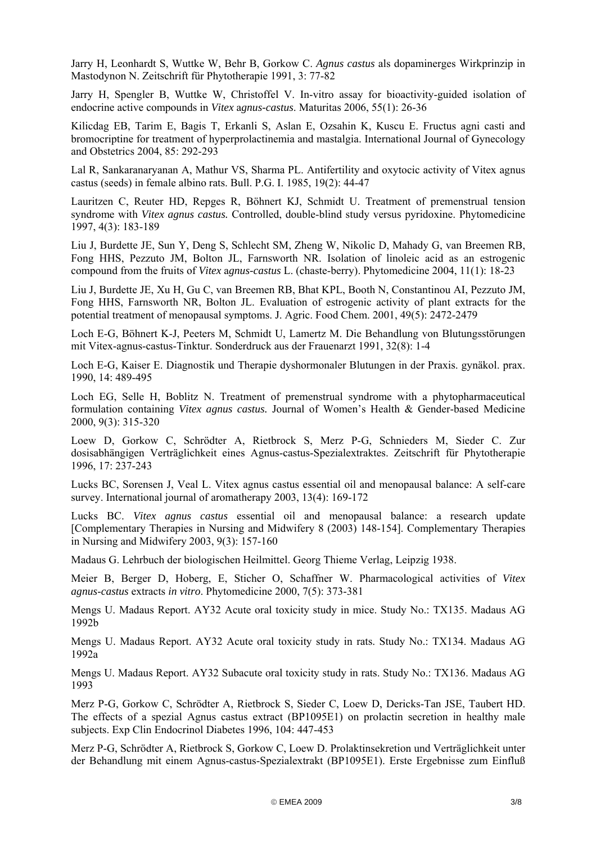Jarry H, Leonhardt S, Wuttke W, Behr B, Gorkow C. *Agnus castus* als dopaminerges Wirkprinzip in Mastodynon N. Zeitschrift für Phytotherapie 1991, 3: 77-82

Jarry H, Spengler B, Wuttke W, Christoffel V. In-vitro assay for bioactivity-guided isolation of endocrine active compounds in *Vitex* a*gnus-castus*. Maturitas 2006, 55(1): 26-36

Kilicdag EB, Tarim E, Bagis T, Erkanli S, Aslan E, Ozsahin K, Kuscu E. Fructus agni casti and bromocriptine for treatment of hyperprolactinemia and mastalgia. International Journal of Gynecology and Obstetrics 2004, 85: 292-293

Lal R, Sankaranaryanan A, Mathur VS, Sharma PL. Antifertility and oxytocic activity of Vitex agnus castus (seeds) in female albino rats. Bull. P.G. I. 1985, 19(2): 44-47

Lauritzen C, Reuter HD, Repges R, Böhnert KJ, Schmidt U. Treatment of premenstrual tension syndrome with *Vitex agnus castus.* Controlled, double-blind study versus pyridoxine. Phytomedicine 1997, 4(3): 183-189

Liu J, Burdette JE, Sun Y, Deng S, Schlecht SM, Zheng W, Nikolic D, Mahady G, van Breemen RB, Fong HHS, Pezzuto JM, Bolton JL, Farnsworth NR. Isolation of linoleic acid as an estrogenic compound from the fruits of *Vitex* a*gnus-castus* L. (chaste-berry). Phytomedicine 2004, 11(1): 18-23

Liu J, Burdette JE, Xu H, Gu C, van Breemen RB, Bhat KPL, Booth N, Constantinou AI, Pezzuto JM, Fong HHS, Farnsworth NR, Bolton JL. Evaluation of estrogenic activity of plant extracts for the potential treatment of menopausal symptoms. J. Agric. Food Chem. 2001, 49(5): 2472-2479

Loch E-G, Böhnert K-J, Peeters M, Schmidt U, Lamertz M. Die Behandlung von Blutungsstörungen mit Vitex-agnus-castus-Tinktur. Sonderdruck aus der Frauenarzt 1991, 32(8): 1-4

Loch E-G, Kaiser E. Diagnostik und Therapie dyshormonaler Blutungen in der Praxis. gynäkol. prax. 1990, 14: 489-495

Loch EG, Selle H, Boblitz N. Treatment of premenstrual syndrome with a phytopharmaceutical formulation containing *Vitex agnus castus.* Journal of Women's Health & Gender-based Medicine 2000, 9(3): 315-320

Loew D, Gorkow C, Schrödter A, Rietbrock S, Merz P-G, Schnieders M, Sieder C. Zur dosisabhängigen Verträglichkeit eines Agnus-castus-Spezialextraktes. Zeitschrift für Phytotherapie 1996, 17: 237-243

Lucks BC, Sorensen J, Veal L. Vitex agnus castus essential oil and menopausal balance: A self-care survey. International journal of aromatherapy 2003, 13(4): 169-172

Lucks BC. *Vitex agnus castus* essential oil and menopausal balance: a research update [Complementary Therapies in Nursing and Midwifery 8 (2003) 148-154]. Complementary Therapies in Nursing and Midwifery 2003, 9(3): 157-160

Madaus G. Lehrbuch der biologischen Heilmittel. Georg Thieme Verlag, Leipzig 1938.

Meier B, Berger D, Hoberg, E, Sticher O, Schaffner W. Pharmacological activities of *Vitex agnus*-*castus* extracts *in vitro*. Phytomedicine 2000, 7(5): 373-381

Mengs U. Madaus Report. AY32 Acute oral toxicity study in mice. Study No.: TX135. Madaus AG 1992b

Mengs U. Madaus Report. AY32 Acute oral toxicity study in rats. Study No.: TX134. Madaus AG 1992a

Mengs U. Madaus Report. AY32 Subacute oral toxicity study in rats. Study No.: TX136. Madaus AG 1993

Merz P-G, Gorkow C, Schrödter A, Rietbrock S, Sieder C, Loew D, Dericks-Tan JSE, Taubert HD. The effects of a spezial Agnus castus extract (BP1095E1) on prolactin secretion in healthy male subjects. Exp Clin Endocrinol Diabetes 1996, 104: 447-453

Merz P-G, Schrödter A, Rietbrock S, Gorkow C, Loew D. Prolaktinsekretion und Verträglichkeit unter der Behandlung mit einem Agnus-castus-Spezialextrakt (BP1095E1). Erste Ergebnisse zum Einfluß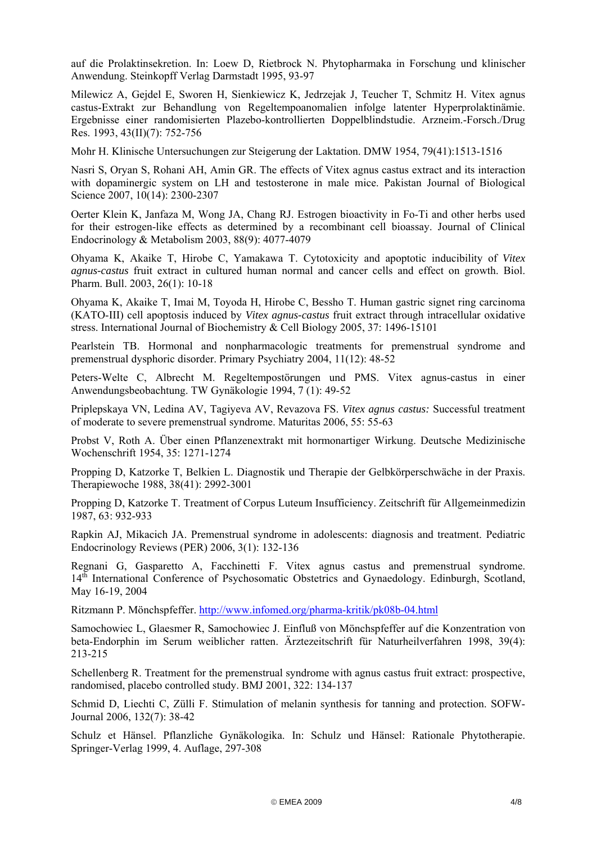auf die Prolaktinsekretion. In: Loew D, Rietbrock N. Phytopharmaka in Forschung und klinischer Anwendung. Steinkopff Verlag Darmstadt 1995, 93-97

Milewicz A, Gejdel E, Sworen H, Sienkiewicz K, Jedrzejak J, Teucher T, Schmitz H. Vitex agnus castus-Extrakt zur Behandlung von Regeltempoanomalien infolge latenter Hyperprolaktinämie. Ergebnisse einer randomisierten Plazebo-kontrollierten Doppelblindstudie. Arzneim.-Forsch./Drug Res. 1993, 43(II)(7): 752-756

Mohr H. Klinische Untersuchungen zur Steigerung der Laktation. DMW 1954, 79(41):1513-1516

Nasri S, Oryan S, Rohani AH, Amin GR. The effects of Vitex agnus castus extract and its interaction with dopaminergic system on LH and testosterone in male mice. Pakistan Journal of Biological Science 2007, 10(14): 2300-2307

Oerter Klein K, Janfaza M, Wong JA, Chang RJ. Estrogen bioactivity in Fo-Ti and other herbs used for their estrogen-like effects as determined by a recombinant cell bioassay. Journal of Clinical Endocrinology & Metabolism 2003, 88(9): 4077-4079

Ohyama K, Akaike T, Hirobe C, Yamakawa T. Cytotoxicity and apoptotic inducibility of *Vitex agnus-castus* fruit extract in cultured human normal and cancer cells and effect on growth. Biol. Pharm. Bull. 2003, 26(1): 10-18

Ohyama K, Akaike T, Imai M, Toyoda H, Hirobe C, Bessho T. Human gastric signet ring carcinoma (KATO-III) cell apoptosis induced by *Vitex agnus-castus* fruit extract through intracellular oxidative stress. International Journal of Biochemistry & Cell Biology 2005, 37: 1496-15101

Pearlstein TB. Hormonal and nonpharmacologic treatments for premenstrual syndrome and premenstrual dysphoric disorder. Primary Psychiatry 2004, 11(12): 48-52

Peters-Welte C, Albrecht M. Regeltempostörungen und PMS. Vitex agnus-castus in einer Anwendungsbeobachtung. TW Gynäkologie 1994, 7 (1): 49-52

Priplepskaya VN, Ledina AV, Tagiyeva AV, Revazova FS. *Vitex agnus castus:* Successful treatment of moderate to severe premenstrual syndrome. Maturitas 2006, 55: 55-63

Probst V, Roth A. Über einen Pflanzenextrakt mit hormonartiger Wirkung. Deutsche Medizinische Wochenschrift 1954, 35: 1271-1274

Propping D, Katzorke T, Belkien L. Diagnostik und Therapie der Gelbkörperschwäche in der Praxis. Therapiewoche 1988, 38(41): 2992-3001

Propping D, Katzorke T. Treatment of Corpus Luteum Insufficiency. Zeitschrift für Allgemeinmedizin 1987, 63: 932-933

Rapkin AJ, Mikacich JA. Premenstrual syndrome in adolescents: diagnosis and treatment. Pediatric Endocrinology Reviews (PER) 2006, 3(1): 132-136

Regnani G, Gasparetto A, Facchinetti F. Vitex agnus castus and premenstrual syndrome. 14<sup>th</sup> International Conference of Psychosomatic Obstetrics and Gynaedology. Edinburgh, Scotland, May 16-19, 2004

Ritzmann P. Mönchspfeffer. <http://www.infomed.org/pharma-kritik/pk08b-04.html>

Samochowiec L, Glaesmer R, Samochowiec J. Einfluß von Mönchspfeffer auf die Konzentration von beta-Endorphin im Serum weiblicher ratten. Ärztezeitschrift für Naturheilverfahren 1998, 39(4): 213-215

Schellenberg R. Treatment for the premenstrual syndrome with agnus castus fruit extract: prospective, randomised, placebo controlled study. BMJ 2001, 322: 134-137

Schmid D, Liechti C, Zülli F. Stimulation of melanin synthesis for tanning and protection. SOFW-Journal 2006, 132(7): 38-42

Schulz et Hänsel. Pflanzliche Gynäkologika. In: Schulz und Hänsel: Rationale Phytotherapie. Springer-Verlag 1999, 4. Auflage, 297-308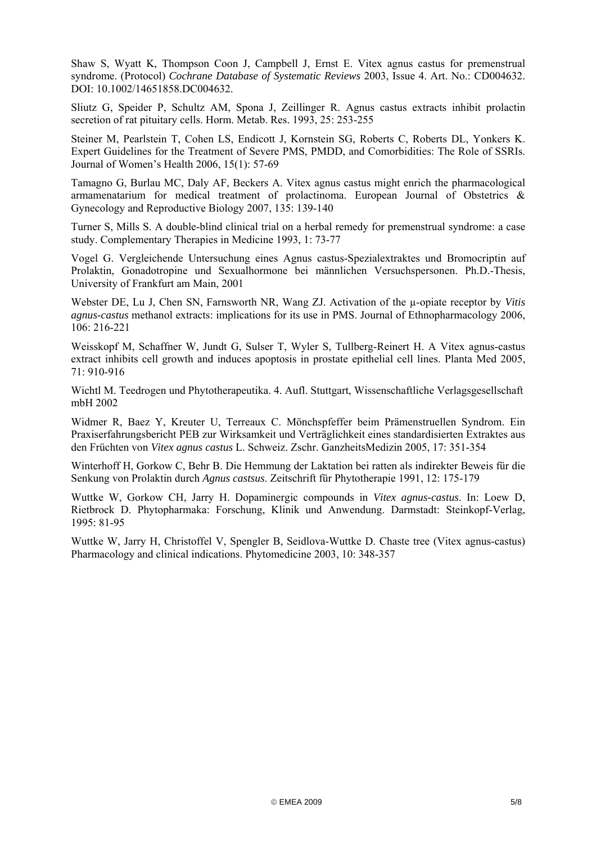Shaw S, Wyatt K, Thompson Coon J, Campbell J, Ernst E. Vitex agnus castus for premenstrual syndrome. (Protocol) *Cochrane Database of Systematic Reviews* 2003, Issue 4. Art. No.: CD004632. DOI: 10.1002/14651858.DC004632.

Sliutz G, Speider P, Schultz AM, Spona J, Zeillinger R. Agnus castus extracts inhibit prolactin secretion of rat pituitary cells. Horm. Metab. Res. 1993, 25: 253-255

Steiner M, Pearlstein T, Cohen LS, Endicott J, Kornstein SG, Roberts C, Roberts DL, Yonkers K. Expert Guidelines for the Treatment of Severe PMS, PMDD, and Comorbidities: The Role of SSRIs. Journal of Women's Health 2006, 15(1): 57-69

Tamagno G, Burlau MC, Daly AF, Beckers A. Vitex agnus castus might enrich the pharmacological armamenatarium for medical treatment of prolactinoma. European Journal of Obstetrics & Gynecology and Reproductive Biology 2007, 135: 139-140

Turner S, Mills S. A double-blind clinical trial on a herbal remedy for premenstrual syndrome: a case study. Complementary Therapies in Medicine 1993, 1: 73-77

Vogel G. Vergleichende Untersuchung eines Agnus castus-Spezialextraktes und Bromocriptin auf Prolaktin, Gonadotropine und Sexualhormone bei männlichen Versuchspersonen. Ph.D.-Thesis, University of Frankfurt am Main, 2001

Webster DE, Lu J, Chen SN, Farnsworth NR, Wang ZJ. Activation of the µ-opiate receptor by *Vitis agnus-castus* methanol extracts: implications for its use in PMS. Journal of Ethnopharmacology 2006, 106: 216-221

Weisskopf M, Schaffner W, Jundt G, Sulser T, Wyler S, Tullberg-Reinert H. A Vitex agnus-castus extract inhibits cell growth and induces apoptosis in prostate epithelial cell lines. Planta Med 2005,  $71 \cdot 910 - 916$ 

Wichtl M. Teedrogen und Phytotherapeutika. 4. Aufl. Stuttgart, Wissenschaftliche Verlagsgesellschaft mbH 2002

Widmer R, Baez Y, Kreuter U, Terreaux C. Mönchspfeffer beim Prämenstruellen Syndrom. Ein Praxiserfahrungsbericht PEB zur Wirksamkeit und Verträglichkeit eines standardisierten Extraktes aus den Früchten von *Vitex agnus castus* L. Schweiz. Zschr. GanzheitsMedizin 2005, 17: 351-354

Winterhoff H, Gorkow C, Behr B. Die Hemmung der Laktation bei ratten als indirekter Beweis für die Senkung von Prolaktin durch *Agnus castsus*. Zeitschrift für Phytotherapie 1991, 12: 175-179

Wuttke W, Gorkow CH, Jarry H. Dopaminergic compounds in *Vitex agnus-castus*. In: Loew D, Rietbrock D. Phytopharmaka: Forschung, Klinik und Anwendung. Darmstadt: Steinkopf-Verlag, 1995: 81-95

Wuttke W, Jarry H, Christoffel V, Spengler B, Seidlova-Wuttke D. Chaste tree (Vitex agnus-castus) Pharmacology and clinical indications. Phytomedicine 2003, 10: 348-357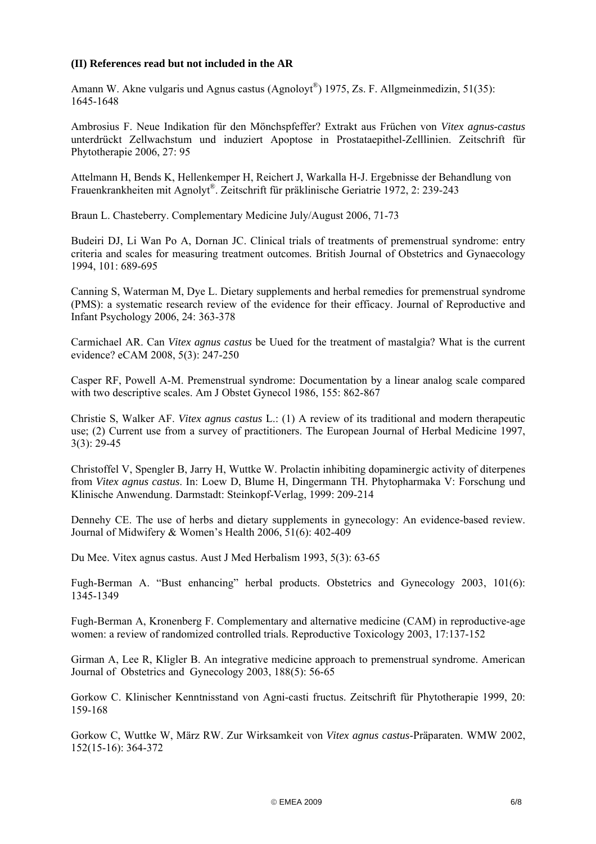## **(II) References read but not included in the AR**

Amann W. Akne vulgaris und Agnus castus (Agnoloyt®) 1975, Zs. F. Allgmeinmedizin, 51(35): 1645-1648

Ambrosius F. Neue Indikation für den Mönchspfeffer? Extrakt aus Früchen von *Vitex agnus-castus*  unterdrückt Zellwachstum und induziert Apoptose in Prostataepithel-Zelllinien. Zeitschrift für Phytotherapie 2006, 27: 95

Attelmann H, Bends K, Hellenkemper H, Reichert J, Warkalla H-J. Ergebnisse der Behandlung von Frauenkrankheiten mit Agnolyt®. Zeitschrift für präklinische Geriatrie 1972, 2: 239-243

Braun L. Chasteberry. Complementary Medicine July/August 2006, 71-73

Budeiri DJ, Li Wan Po A, Dornan JC. Clinical trials of treatments of premenstrual syndrome: entry criteria and scales for measuring treatment outcomes. British Journal of Obstetrics and Gynaecology 1994, 101: 689-695

Canning S, Waterman M, Dye L. Dietary supplements and herbal remedies for premenstrual syndrome (PMS): a systematic research review of the evidence for their efficacy. Journal of Reproductive and Infant Psychology 2006, 24: 363-378

Carmichael AR. Can *Vitex agnus castus* be Uued for the treatment of mastalgia? What is the current evidence? eCAM 2008, 5(3): 247-250

Casper RF, Powell A-M. Premenstrual syndrome: Documentation by a linear analog scale compared with two descriptive scales. Am J Obstet Gynecol 1986, 155: 862-867

Christie S, Walker AF. *Vitex agnus castus* L.: (1) A review of its traditional and modern therapeutic use; (2) Current use from a survey of practitioners. The European Journal of Herbal Medicine 1997, 3(3): 29-45

Christoffel V, Spengler B, Jarry H, Wuttke W. Prolactin inhibiting dopaminergic activity of diterpenes from *Vitex agnus castus*. In: Loew D, Blume H, Dingermann TH. Phytopharmaka V: Forschung und Klinische Anwendung. Darmstadt: Steinkopf-Verlag, 1999: 209-214

Dennehy CE. The use of herbs and dietary supplements in gynecology: An evidence-based review. Journal of Midwifery & Women's Health 2006, 51(6): 402-409

Du Mee. Vitex agnus castus. Aust J Med Herbalism 1993, 5(3): 63-65

Fugh-Berman A. "Bust enhancing" herbal products. Obstetrics and Gynecology 2003, 101(6): 1345-1349

Fugh-Berman A, Kronenberg F. Complementary and alternative medicine (CAM) in reproductive-age women: a review of randomized controlled trials. Reproductive Toxicology 2003, 17:137-152

Girman A, Lee R, Kligler B. An integrative medicine approach to premenstrual syndrome. American Journal of Obstetrics and Gynecology 2003, 188(5): 56-65

Gorkow C. Klinischer Kenntnisstand von Agni-casti fructus. Zeitschrift für Phytotherapie 1999, 20: 159-168

Gorkow C, Wuttke W, März RW. Zur Wirksamkeit von *Vitex agnus castus*-Präparaten. WMW 2002, 152(15-16): 364-372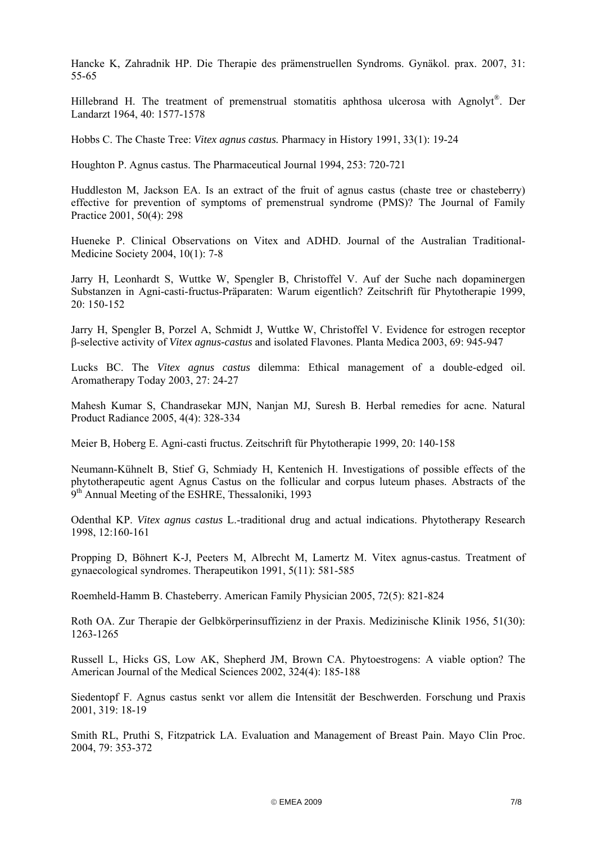Hancke K, Zahradnik HP. Die Therapie des prämenstruellen Syndroms. Gynäkol. prax. 2007, 31: 55-65

Hillebrand H. The treatment of premenstrual stomatitis aphthosa ulcerosa with Agnolyt®. Der Landarzt 1964, 40: 1577-1578

Hobbs C. The Chaste Tree: *Vitex agnus castus.* Pharmacy in History 1991, 33(1): 19-24

Houghton P. Agnus castus. The Pharmaceutical Journal 1994, 253: 720-721

Huddleston M, Jackson EA. Is an extract of the fruit of agnus castus (chaste tree or chasteberry) effective for prevention of symptoms of premenstrual syndrome (PMS)? The Journal of Family Practice 2001, 50(4): 298

Hueneke P. Clinical Observations on Vitex and ADHD. Journal of the Australian Traditional-Medicine Society 2004, 10(1): 7-8

Jarry H, Leonhardt S, Wuttke W, Spengler B, Christoffel V. Auf der Suche nach dopaminergen Substanzen in Agni-casti-fructus-Präparaten: Warum eigentlich? Zeitschrift für Phytotherapie 1999, 20: 150-152

Jarry H, Spengler B, Porzel A, Schmidt J, Wuttke W, Christoffel V. Evidence for estrogen receptor β-selective activity of *Vitex agnus-castus* and isolated Flavones. Planta Medica 2003, 69: 945-947

Lucks BC. The *Vitex agnus castus* dilemma: Ethical management of a double-edged oil. Aromatherapy Today 2003, 27: 24-27

Mahesh Kumar S, Chandrasekar MJN, Nanjan MJ, Suresh B. Herbal remedies for acne. Natural Product Radiance 2005, 4(4): 328-334

Meier B, Hoberg E. Agni-casti fructus. Zeitschrift für Phytotherapie 1999, 20: 140-158

Neumann-Kühnelt B, Stief G, Schmiady H, Kentenich H. Investigations of possible effects of the phytotherapeutic agent Agnus Castus on the follicular and corpus luteum phases. Abstracts of the 9<sup>th</sup> Annual Meeting of the ESHRE, Thessaloniki, 1993

Odenthal KP. *Vitex agnus castus* L.-traditional drug and actual indications. Phytotherapy Research 1998, 12:160-161

Propping D, Böhnert K-J, Peeters M, Albrecht M, Lamertz M. Vitex agnus-castus. Treatment of gynaecological syndromes. Therapeutikon 1991, 5(11): 581-585

Roemheld-Hamm B. Chasteberry. American Family Physician 2005, 72(5): 821-824

Roth OA. Zur Therapie der Gelbkörperinsuffizienz in der Praxis. Medizinische Klinik 1956, 51(30): 1263-1265

Russell L, Hicks GS, Low AK, Shepherd JM, Brown CA. Phytoestrogens: A viable option? The American Journal of the Medical Sciences 2002, 324(4): 185-188

Siedentopf F. Agnus castus senkt vor allem die Intensität der Beschwerden. Forschung und Praxis 2001, 319: 18-19

Smith RL, Pruthi S, Fitzpatrick LA. Evaluation and Management of Breast Pain. Mayo Clin Proc. 2004, 79: 353-372